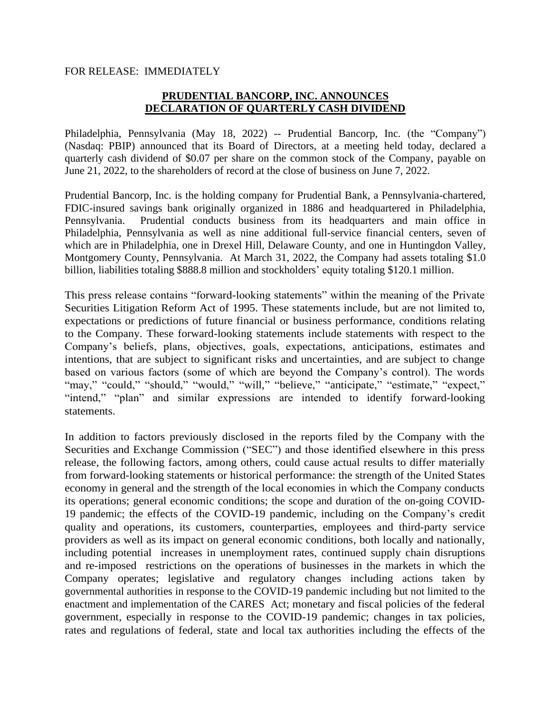## FOR RELEASE: IMMEDIATELY

## **PRUDENTIAL BANCORP, INC. ANNOUNCES DECLARATION OF QUARTERLY CASH DIVIDEND**

Philadelphia, Pennsylvania (May 18, 2022) -- Prudential Bancorp, Inc. (the "Company") (Nasdaq: PBIP) announced that its Board of Directors, at a meeting held today, declared a quarterly cash dividend of \$0.07 per share on the common stock of the Company, payable on June 21, 2022, to the shareholders of record at the close of business on June 7, 2022.

Prudential Bancorp, Inc. is the holding company for Prudential Bank, a Pennsylvania-chartered, FDIC-insured savings bank originally organized in 1886 and headquartered in Philadelphia, Pennsylvania. Prudential conducts business from its headquarters and main office in Philadelphia, Pennsylvania as well as nine additional full-service financial centers, seven of which are in Philadelphia, one in Drexel Hill, Delaware County, and one in Huntingdon Valley, Montgomery County, Pennsylvania. At March 31, 2022, the Company had assets totaling \$1.0 billion, liabilities totaling \$888.8 million and stockholders' equity totaling \$120.1 million.

This press release contains "forward-looking statements" within the meaning of the Private Securities Litigation Reform Act of 1995. These statements include, but are not limited to, expectations or predictions of future financial or business performance, conditions relating to the Company. These forward-looking statements include statements with respect to the Company's beliefs, plans, objectives, goals, expectations, anticipations, estimates and intentions, that are subject to significant risks and uncertainties, and are subject to change based on various factors (some of which are beyond the Company's control). The words "may," "could," "should," "would," "will," "believe," "anticipate," "estimate," "expect," "intend," "plan" and similar expressions are intended to identify forward-looking statements.

In addition to factors previously disclosed in the reports filed by the Company with the Securities and Exchange Commission ("SEC") and those identified elsewhere in this press release, the following factors, among others, could cause actual results to differ materially from forward-looking statements or historical performance: the strength of the United States economy in general and the strength of the local economies in which the Company conducts its operations; general economic conditions; the scope and duration of the on-going COVID-19 pandemic; the effects of the COVID-19 pandemic, including on the Company's credit quality and operations, its customers, counterparties, employees and third-party service providers as well as its impact on general economic conditions, both locally and nationally, including potential increases in unemployment rates, continued supply chain disruptions and re-imposed restrictions on the operations of businesses in the markets in which the Company operates; legislative and regulatory changes including actions taken by governmental authorities in response to the COVID-19 pandemic including but not limited to the enactment and implementation of the CARES Act; monetary and fiscal policies of the federal government, especially in response to the COVID-19 pandemic; changes in tax policies, rates and regulations of federal, state and local tax authorities including the effects of the